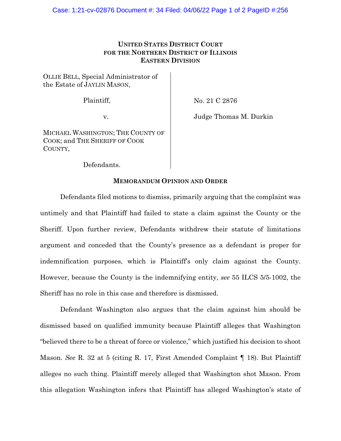## **UNITED STATES DISTRICT COURT FOR THE NORTHERN DISTRICT OF ILLINOIS EASTERN DIVISION**

OLLIE BELL, Special Administrator of the Estate of JAYLIN MASON,

Plaintiff,

No. 21 C 2876

v.

Judge Thomas M. Durkin

MICHAEL WASHINGTON; THE COUNTY OF COOK; and THE SHERIFF OF COOK COUNTY,

Defendants.

## **MEMORANDUM OPINION AND ORDER**

Defendants filed motions to dismiss, primarily arguing that the complaint was untimely and that Plaintiff had failed to state a claim against the County or the Sheriff. Upon further review, Defendants withdrew their statute of limitations argument and conceded that the County's presence as a defendant is proper for indemnification purposes, which is Plaintiff's only claim against the County. However, because the County is the indemnifying entity, *see* 55 ILCS 5/5-1002, the Sheriff has no role in this case and therefore is dismissed.

Defendant Washington also argues that the claim against him should be dismissed based on qualified immunity because Plaintiff alleges that Washington "believed there to be a threat of force or violence," which justified his decision to shoot Mason. *See* R. 32 at 5 (citing R. 17, First Amended Complaint ¶ 18). But Plaintiff alleges no such thing. Plaintiff merely alleged that Washington shot Mason. From this allegation Washington infers that Plaintiff has alleged Washington's state of